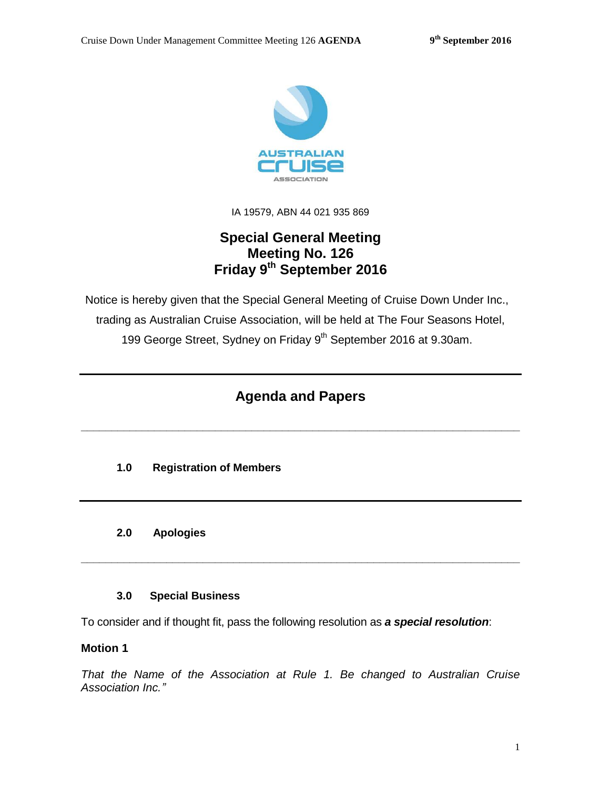

IA 19579, ABN 44 021 935 869

# **Special General Meeting Meeting No. 126 Friday 9 th September 2016**

Notice is hereby given that the Special General Meeting of Cruise Down Under Inc., trading as Australian Cruise Association, will be held at The Four Seasons Hotel, 199 George Street, Sydney on Friday 9<sup>th</sup> September 2016 at 9.30am.

# **Agenda and Papers**

**\_\_\_\_\_\_\_\_\_\_\_\_\_\_\_\_\_\_\_\_\_\_\_\_\_\_\_\_\_\_\_\_\_\_\_\_\_\_\_\_\_\_\_\_\_\_\_\_\_\_\_\_\_\_\_\_\_\_\_\_\_\_\_\_\_\_\_\_\_\_\_\_**

# **1.0 Registration of Members**

#### **2.0 Apologies**

#### **3.0 Special Business**

To consider and if thought fit, pass the following resolution as *a special resolution*:

#### **Motion 1**

*That the Name of the Association at Rule 1. Be changed to Australian Cruise Association Inc."*

**\_\_\_\_\_\_\_\_\_\_\_\_\_\_\_\_\_\_\_\_\_\_\_\_\_\_\_\_\_\_\_\_\_\_\_\_\_\_\_\_\_\_\_\_\_\_\_\_\_\_\_\_\_\_\_\_\_\_\_\_\_\_\_\_\_\_\_\_\_\_\_\_**